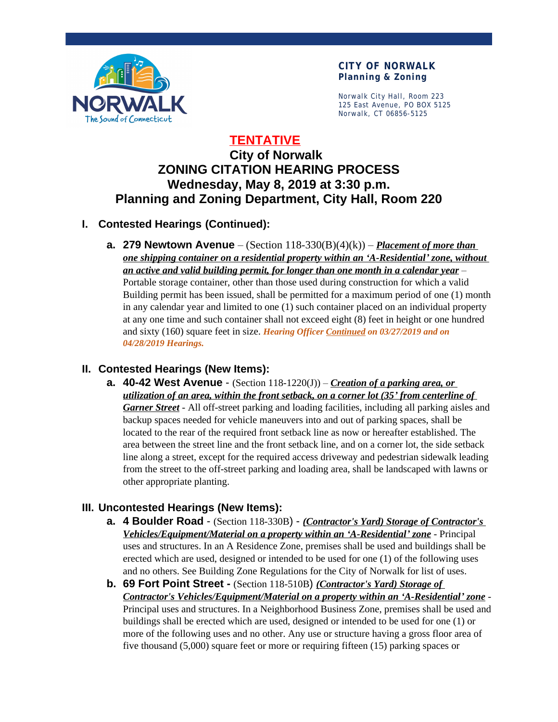

Norwalk City Hall, Room 223 125 East Avenue, PO BOX 5125 Norwalk, CT 06856-5125

# **TENTATIVE City of Norwalk ZONING CITATION HEARING PROCESS Wednesday, May 8, 2019 at 3:30 p.m. Planning and Zoning Department, City Hall, Room 220**

## **I. Contested Hearings (Continued):**

**a. 279 Newtown Avenue** – (Section  $118-330(B)(4)(k)$ ) – *Placement of more than one shipping container on a residential property within an 'A-Residential' zone, without an active and valid building permit, for longer than one month in a calendar year* – Portable storage container, other than those used during construction for which a valid Building permit has been issued, shall be permitted for a maximum period of one (1) month in any calendar year and limited to one (1) such container placed on an individual property at any one time and such container shall not exceed eight (8) feet in height or one hundred and sixty (160) square feet in size. *Hearing Officer Continued on 03/27/2019 and on 04/28/2019 Hearings.*

## **II. Contested Hearings (New Items):**

**a. 40-42 West Avenue** - (Section 118-1220(J)) – *Creation of a parking area, or utilization of an area, within the front setback, on a corner lot (35' from centerline of Garner Street* - All off-street parking and loading facilities, including all parking aisles and backup spaces needed for vehicle maneuvers into and out of parking spaces, shall be located to the rear of the required front setback line as now or hereafter established. The area between the street line and the front setback line, and on a corner lot, the side setback line along a street, except for the required access driveway and pedestrian sidewalk leading from the street to the off-street parking and loading area, shall be landscaped with lawns or other appropriate planting.

## **III. Uncontested Hearings (New Items):**

- **a. 4 Boulder Road**  (Section 118-330B) *(Contractor's Yard) Storage of Contractor's Vehicles/Equipment/Material on a property within an 'A-Residential' zone* - Principal uses and structures. In an A Residence Zone, premises shall be used and buildings shall be erected which are used, designed or intended to be used for one (1) of the following uses and no others. See Building Zone Regulations for the City of Norwalk for list of uses.
- **b. 69 Fort Point Street -** (Section 118-510B) *(Contractor's Yard) Storage of Contractor's Vehicles/Equipment/Material on a property within an 'A-Residential' zone* - Principal uses and structures. In a Neighborhood Business Zone, premises shall be used and buildings shall be erected which are used, designed or intended to be used for one (1) or more of the following uses and no other. Any use or structure having a gross floor area of five thousand (5,000) square feet or more or requiring fifteen (15) parking spaces or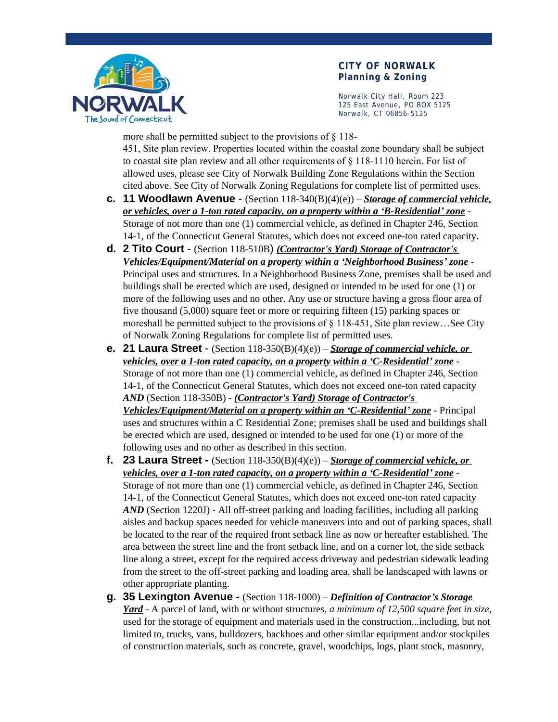

Norwalk City Hall, Room 223 125 East Avenue, PO BOX 5125 Norwalk, CT 06856-5125

more shall be permitted subject to the provisions of § 118- 451, Site plan review. Properties located within the coastal zone boundary shall be subject to coastal site plan review and all other requirements of § 118-1110 herein. For list of allowed uses, please see City of Norwalk Building Zone Regulations within the Section cited above. See City of Norwalk Zoning Regulations for complete list of permitted uses.

- **c. 11 Woodlawn Avenue**  (Section 118-340(B)(4)(e)) *Storage of commercial vehicle, or vehicles, over a 1-ton rated capacity, on a property within a 'B-Residential' zone* - Storage of not more than one (1) commercial vehicle, as defined in Chapter 246, Section 14-1, of the Connecticut General Statutes, which does not exceed one-ton rated capacity.
- **d. 2 Tito Court** (Section 118-510B) *(Contractor's Yard) Storage of Contractor's Vehicles/Equipment/Material on a property within a 'Neighborhood Business' zone* - Principal uses and structures. In a Neighborhood Business Zone, premises shall be used and buildings shall be erected which are used, designed or intended to be used for one (1) or more of the following uses and no other. Any use or structure having a gross floor area of five thousand (5,000) square feet or more or requiring fifteen (15) parking spaces or moreshall be permitted subject to the provisions of § 118-451, Site plan review…See City of Norwalk Zoning Regulations for complete list of permitted uses.
- **e. 21 Laura Street**  (Section 118-350(B)(4)(e)) *Storage of commercial vehicle, or vehicles, over a 1-ton rated capacity, on a property within a 'C-Residential' zone* - Storage of not more than one (1) commercial vehicle, as defined in Chapter 246, Section 14-1, of the Connecticut General Statutes, which does not exceed one-ton rated capacity *AND* (Section 118-350B) - *(Contractor's Yard) Storage of Contractor's Vehicles/Equipment/Material on a property within an 'C-Residential' zone* - Principal uses and structures within a C Residential Zone; premises shall be used and buildings shall be erected which are used, designed or intended to be used for one (1) or more of the following uses and no other as described in this section.
- **f. 23 Laura Street** (Section 118-350(B)(4)(e)) *Storage of commercial vehicle, or vehicles, over a 1-ton rated capacity, on a property within a 'C-Residential' zone* - Storage of not more than one (1) commercial vehicle, as defined in Chapter 246, Section 14-1, of the Connecticut General Statutes, which does not exceed one-ton rated capacity *AND* (Section 1220J) - All off-street parking and loading facilities, including all parking aisles and backup spaces needed for vehicle maneuvers into and out of parking spaces, shall be located to the rear of the required front setback line as now or hereafter established. The area between the street line and the front setback line, and on a corner lot, the side setback line along a street, except for the required access driveway and pedestrian sidewalk leading from the street to the off-street parking and loading area, shall be landscaped with lawns or other appropriate planting.
- **g. 35 Lexington Avenue** (Section 118-1000) *Definition of Contractor's Storage Yard* - A parcel of land, with or without structures, *a minimum of 12,500 square feet in size*, used for the storage of equipment and materials used in the construction...including, but not limited to, trucks, vans, bulldozers, backhoes and other similar equipment and/or stockpiles of construction materials, such as concrete, gravel, woodchips, logs, plant stock, masonry,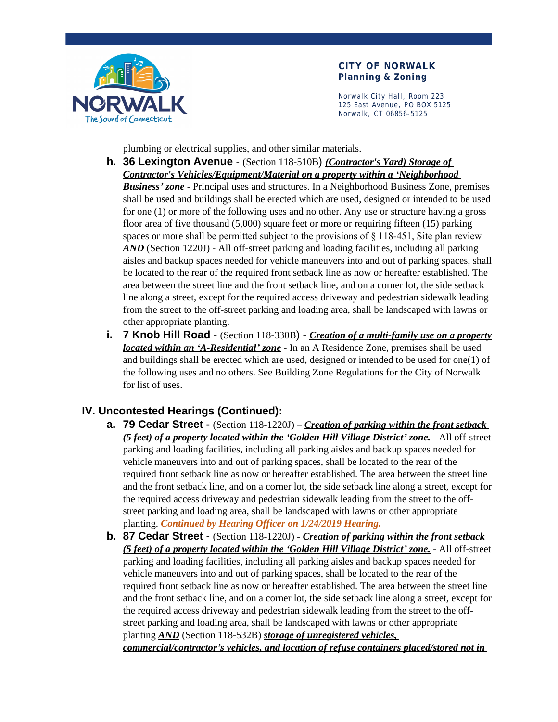

Norwalk City Hall, Room 223 125 East Avenue, PO BOX 5125 Norwalk, CT 06856-5125

plumbing or electrical supplies, and other similar materials.

- **h. 36 Lexington Avenue**  (Section 118-510B) *(Contractor's Yard) Storage of Contractor's Vehicles/Equipment/Material on a property within a 'Neighborhood Business' zone* - Principal uses and structures. In a Neighborhood Business Zone, premises shall be used and buildings shall be erected which are used, designed or intended to be used for one (1) or more of the following uses and no other. Any use or structure having a gross floor area of five thousand (5,000) square feet or more or requiring fifteen (15) parking spaces or more shall be permitted subject to the provisions of § 118-451, Site plan review *AND* (Section 1220J) - All off-street parking and loading facilities, including all parking aisles and backup spaces needed for vehicle maneuvers into and out of parking spaces, shall be located to the rear of the required front setback line as now or hereafter established. The area between the street line and the front setback line, and on a corner lot, the side setback line along a street, except for the required access driveway and pedestrian sidewalk leading from the street to the off-street parking and loading area, shall be landscaped with lawns or other appropriate planting.
- **i. 7 Knob Hill Road**  (Section 118-330B) *Creation of a multi-family use on a property located within an 'A-Residential' zone* - In an A Residence Zone, premises shall be used and buildings shall be erected which are used, designed or intended to be used for one(1) of the following uses and no others. See Building Zone Regulations for the City of Norwalk for list of uses.

### **IV. Uncontested Hearings (Continued):**

- **a. 79 Cedar Street** (Section 118-1220J) *Creation of parking within the front setback (5 feet) of a property located within the 'Golden Hill Village District' zone.* - All off-street parking and loading facilities, including all parking aisles and backup spaces needed for vehicle maneuvers into and out of parking spaces, shall be located to the rear of the required front setback line as now or hereafter established. The area between the street line and the front setback line, and on a corner lot, the side setback line along a street, except for the required access driveway and pedestrian sidewalk leading from the street to the offstreet parking and loading area, shall be landscaped with lawns or other appropriate planting. *Continued by Hearing Officer on 1/24/2019 Hearing.*
- **b. 87 Cedar Street**  (Section 118-1220J) *Creation of parking within the front setback (5 feet) of a property located within the 'Golden Hill Village District' zone.* - All off-street parking and loading facilities, including all parking aisles and backup spaces needed for vehicle maneuvers into and out of parking spaces, shall be located to the rear of the required front setback line as now or hereafter established. The area between the street line and the front setback line, and on a corner lot, the side setback line along a street, except for the required access driveway and pedestrian sidewalk leading from the street to the offstreet parking and loading area, shall be landscaped with lawns or other appropriate planting *AND* (Section 118-532B) *storage of unregistered vehicles, commercial/contractor's vehicles, and location of refuse containers placed/stored not in*